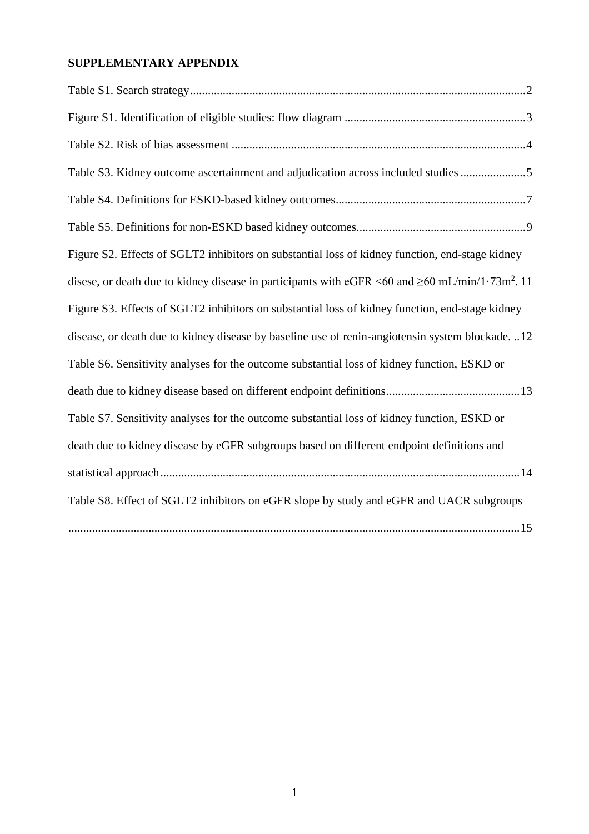# **SUPPLEMENTARY APPENDIX**

| Table S3. Kidney outcome ascertainment and adjudication across included studies5                                                |
|---------------------------------------------------------------------------------------------------------------------------------|
|                                                                                                                                 |
|                                                                                                                                 |
| Figure S2. Effects of SGLT2 inhibitors on substantial loss of kidney function, end-stage kidney                                 |
| disese, or death due to kidney disease in participants with eGFR $\leq 60$ and $\geq 60$ mL/min/1 $\cdot$ 73m <sup>2</sup> . 11 |
| Figure S3. Effects of SGLT2 inhibitors on substantial loss of kidney function, end-stage kidney                                 |
| disease, or death due to kidney disease by baseline use of renin-angiotensin system blockade12                                  |
| Table S6. Sensitivity analyses for the outcome substantial loss of kidney function, ESKD or                                     |
|                                                                                                                                 |
| Table S7. Sensitivity analyses for the outcome substantial loss of kidney function, ESKD or                                     |
| death due to kidney disease by eGFR subgroups based on different endpoint definitions and                                       |
|                                                                                                                                 |
| Table S8. Effect of SGLT2 inhibitors on eGFR slope by study and eGFR and UACR subgroups                                         |
|                                                                                                                                 |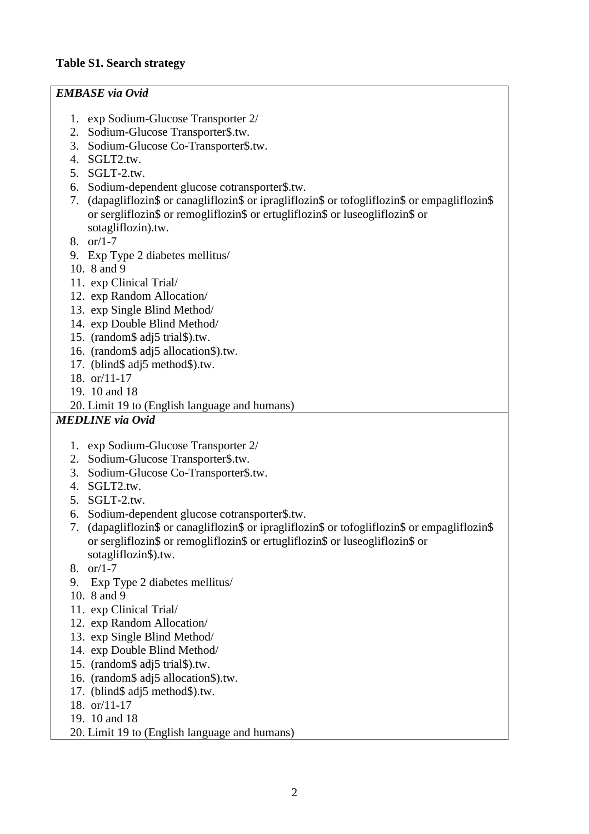### *EMBASE via Ovid*

- 1. exp Sodium-Glucose Transporter 2/
- 2. Sodium-Glucose Transporter\$.tw.
- 3. Sodium-Glucose Co-Transporter\$.tw.
- 4. SGLT2.tw.
- 5. SGLT-2.tw.
- 6. Sodium-dependent glucose cotransporter\$.tw.
- 7. (dapagliflozin\$ or canagliflozin\$ or ipragliflozin\$ or tofogliflozin\$ or empagliflozin\$ or sergliflozin\$ or remogliflozin\$ or ertugliflozin\$ or luseogliflozin\$ or sotagliflozin).tw.
- 8. or/1-7
- 9. Exp Type 2 diabetes mellitus/
- 10. 8 and 9
- 11. exp Clinical Trial/
- 12. exp Random Allocation/
- 13. exp Single Blind Method/
- 14. exp Double Blind Method/
- 15. (random\$ adj5 trial\$).tw.
- 16. (random\$ adj5 allocation\$).tw.
- 17. (blind\$ adj5 method\$).tw.
- 18. or/11-17
- 19. 10 and 18
- 20. Limit 19 to (English language and humans)

### *MEDLINE via Ovid*

- 1. exp Sodium-Glucose Transporter 2/
- 2. Sodium-Glucose Transporter\$.tw.
- 3. Sodium-Glucose Co-Transporter\$.tw.
- 4. SGLT2.tw.
- 5. SGLT-2.tw.
- 6. Sodium-dependent glucose cotransporter\$.tw.
- 7. (dapagliflozin\$ or canagliflozin\$ or ipragliflozin\$ or tofogliflozin\$ or empagliflozin\$ or sergliflozin\$ or remogliflozin\$ or ertugliflozin\$ or luseogliflozin\$ or sotagliflozin\$).tw.
- 8. or/1-7
- 9. Exp Type 2 diabetes mellitus/
- 10. 8 and 9
- 11. exp Clinical Trial/
- 12. exp Random Allocation/
- 13. exp Single Blind Method/
- 14. exp Double Blind Method/
- 15. (random\$ adj5 trial\$).tw.
- 16. (random\$ adj5 allocation\$).tw.
- 17. (blind\$ adj5 method\$).tw.
- 18. or/11-17
- 19. 10 and 18
- 20. Limit 19 to (English language and humans)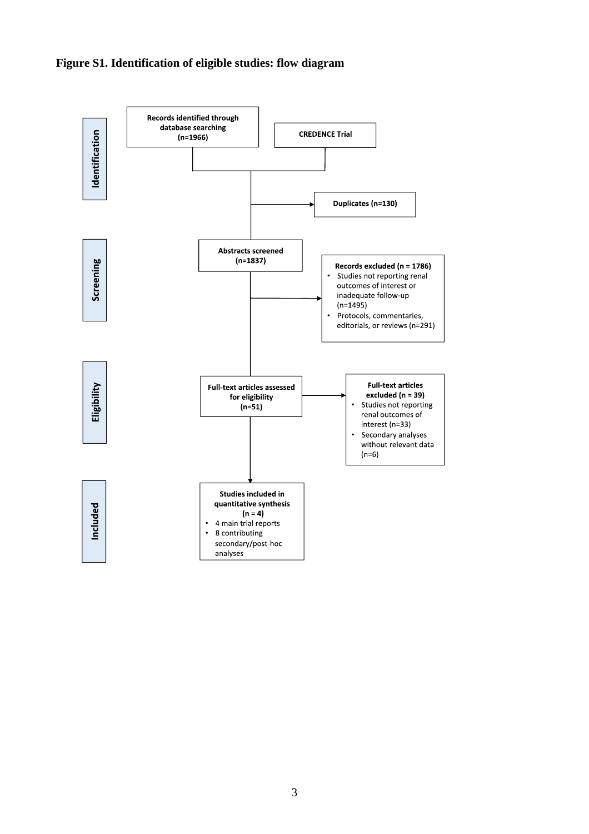## **Figure S1. Identification of eligible studies: flow diagram**

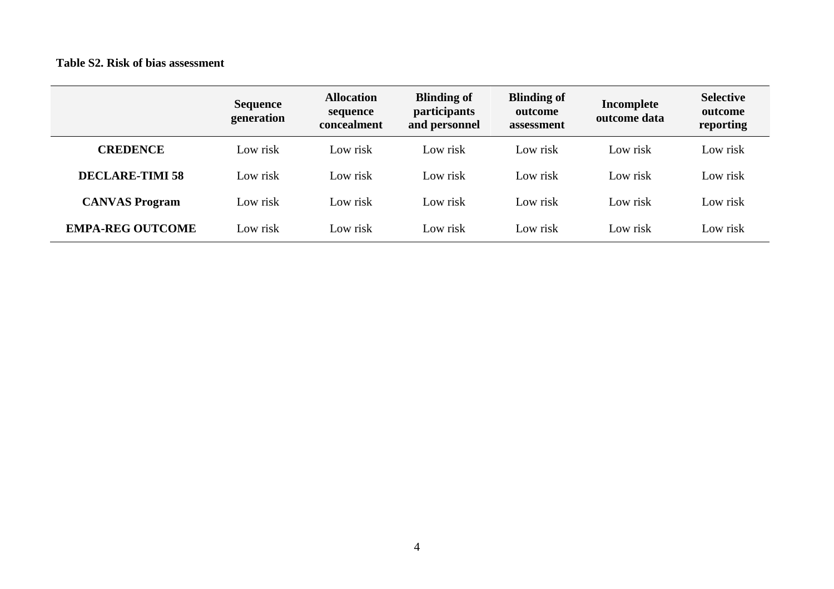### **Table S2. Risk of bias assessment**

|                         | <b>Sequence</b><br>generation | <b>Allocation</b><br>sequence<br>concealment | <b>Blinding of</b><br><i>participants</i><br>and personnel | <b>Blinding of</b><br>outcome<br>assessment | Incomplete<br>outcome data | <b>Selective</b><br>outcome<br>reporting |
|-------------------------|-------------------------------|----------------------------------------------|------------------------------------------------------------|---------------------------------------------|----------------------------|------------------------------------------|
| <b>CREDENCE</b>         | Low risk                      | Low risk                                     | Low risk                                                   | Low risk                                    | Low risk                   | Low risk                                 |
| <b>DECLARE-TIMI 58</b>  | Low risk                      | Low risk                                     | Low risk                                                   | Low risk                                    | Low risk                   | Low risk                                 |
| <b>CANVAS Program</b>   | Low risk                      | Low risk                                     | Low risk                                                   | Low risk                                    | Low risk                   | Low risk                                 |
| <b>EMPA-REG OUTCOME</b> | Low risk                      | Low risk                                     | Low risk                                                   | Low risk                                    | Low risk                   | Low risk                                 |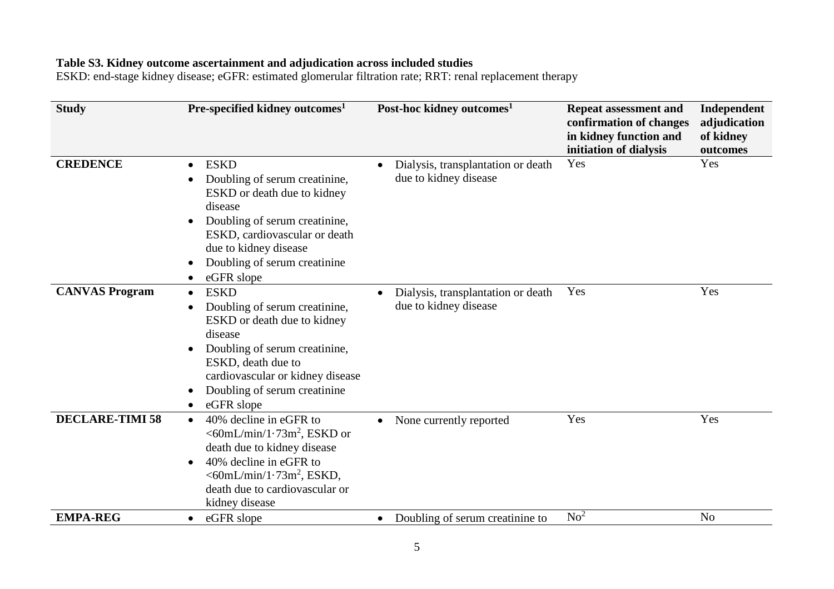### **Table S3. Kidney outcome ascertainment and adjudication across included studies**

ESKD: end-stage kidney disease; eGFR: estimated glomerular filtration rate; RRT: renal replacement therapy

| <b>Study</b>           | Pre-specified kidney outcomes <sup>1</sup>                                                                                                                                                                                                                                                        | Post-hoc kidney outcomes <sup>1</sup>                       | <b>Repeat assessment and</b><br>confirmation of changes<br>in kidney function and<br>initiation of dialysis | Independent<br>adjudication<br>of kidney<br>outcomes |
|------------------------|---------------------------------------------------------------------------------------------------------------------------------------------------------------------------------------------------------------------------------------------------------------------------------------------------|-------------------------------------------------------------|-------------------------------------------------------------------------------------------------------------|------------------------------------------------------|
| <b>CREDENCE</b>        | <b>ESKD</b><br>$\bullet$<br>Doubling of serum creatinine,<br>$\bullet$<br>ESKD or death due to kidney<br>disease<br>Doubling of serum creatinine,<br>$\bullet$<br>ESKD, cardiovascular or death<br>due to kidney disease<br>Doubling of serum creatinine<br>$\bullet$<br>eGFR slope               | Dialysis, transplantation or death<br>due to kidney disease | Yes                                                                                                         | Yes                                                  |
| <b>CANVAS Program</b>  | <b>ESKD</b><br>$\bullet$<br>Doubling of serum creatinine,<br>$\bullet$<br>ESKD or death due to kidney<br>disease<br>Doubling of serum creatinine,<br>$\bullet$<br>ESKD, death due to<br>cardiovascular or kidney disease<br>Doubling of serum creatinine.<br>$\bullet$<br>eGFR slope<br>$\bullet$ | Dialysis, transplantation or death<br>due to kidney disease | Yes                                                                                                         | Yes                                                  |
| <b>DECLARE-TIMI 58</b> | 40% decline in eGFR to<br>$\bullet$<br>$<60mL/min/1.73m^2$ , ESKD or<br>death due to kidney disease<br>40% decline in eGFR to<br>$\bullet$<br>$<$ 60mL/min/1 $\cdot$ 73m <sup>2</sup> , ESKD,<br>death due to cardiovascular or<br>kidney disease                                                 | None currently reported<br>$\bullet$                        | Yes                                                                                                         | Yes                                                  |
| <b>EMPA-REG</b>        | eGFR slope<br>$\bullet$                                                                                                                                                                                                                                                                           | Doubling of serum creatinine to<br>$\bullet$                | No <sup>2</sup>                                                                                             | N <sub>o</sub>                                       |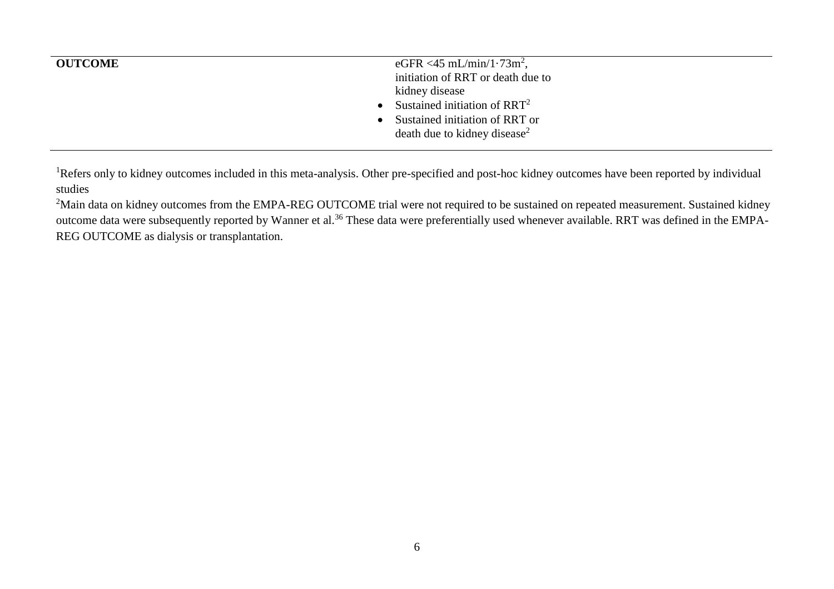| <b>OUTCOME</b> | eGFR <45 mL/min/1 $\cdot$ 73m <sup>2</sup> ,<br>initiation of RRT or death due to<br>kidney disease<br>• Sustained initiation of $RRT^2$<br>• Sustained initiation of RRT or<br>death due to kidney disease <sup>2</sup> |
|----------------|--------------------------------------------------------------------------------------------------------------------------------------------------------------------------------------------------------------------------|
|                |                                                                                                                                                                                                                          |

<sup>1</sup>Refers only to kidney outcomes included in this meta-analysis. Other pre-specified and post-hoc kidney outcomes have been reported by individual studies

<sup>2</sup>Main data on kidney outcomes from the EMPA-REG OUTCOME trial were not required to be sustained on repeated measurement. Sustained kidney outcome data were subsequently reported by Wanner et al.<sup>36</sup> These data were preferentially used whenever available. RRT was defined in the EMPA-REG OUTCOME as dialysis or transplantation.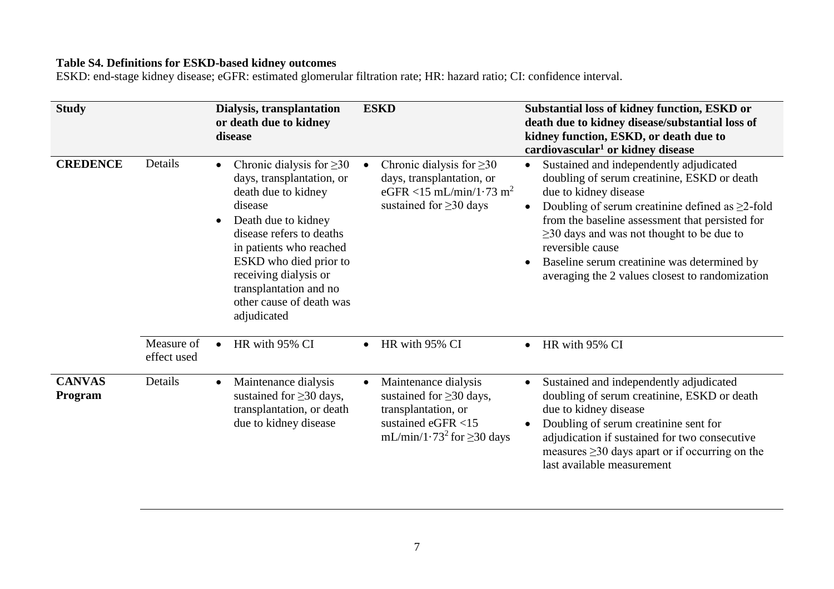### **Table S4. Definitions for ESKD-based kidney outcomes**

ESKD: end-stage kidney disease; eGFR: estimated glomerular filtration rate; HR: hazard ratio; CI: confidence interval.

| <b>Study</b>             |                           | Dialysis, transplantation<br>or death due to kidney<br>disease                                                                                                                                                                                                                                      | <b>ESKD</b>                                                                                                                                                    | Substantial loss of kidney function, ESKD or<br>death due to kidney disease/substantial loss of<br>kidney function, ESKD, or death due to<br>cardiovascular <sup>1</sup> or kidney disease                                                                                                                                                                                                           |
|--------------------------|---------------------------|-----------------------------------------------------------------------------------------------------------------------------------------------------------------------------------------------------------------------------------------------------------------------------------------------------|----------------------------------------------------------------------------------------------------------------------------------------------------------------|------------------------------------------------------------------------------------------------------------------------------------------------------------------------------------------------------------------------------------------------------------------------------------------------------------------------------------------------------------------------------------------------------|
| <b>CREDENCE</b>          | Details                   | Chronic dialysis for $\geq 30$<br>days, transplantation, or<br>death due to kidney<br>disease<br>Death due to kidney<br>disease refers to deaths<br>in patients who reached<br>ESKD who died prior to<br>receiving dialysis or<br>transplantation and no<br>other cause of death was<br>adjudicated | Chronic dialysis for $\geq 30$<br>days, transplantation, or<br>eGFR <15 mL/min/1.73 m <sup>2</sup><br>sustained for $\geq$ 30 days                             | Sustained and independently adjudicated<br>doubling of serum creatinine, ESKD or death<br>due to kidney disease<br>Doubling of serum creatinine defined as $\geq$ 2-fold<br>from the baseline assessment that persisted for<br>$\geq$ 30 days and was not thought to be due to<br>reversible cause<br>Baseline serum creatinine was determined by<br>averaging the 2 values closest to randomization |
|                          | Measure of<br>effect used | HR with 95% CI<br>$\bullet$                                                                                                                                                                                                                                                                         | HR with 95% CI<br>$\bullet$                                                                                                                                    | HR with 95% CI<br>$\bullet$                                                                                                                                                                                                                                                                                                                                                                          |
| <b>CANVAS</b><br>Program | Details                   | Maintenance dialysis<br>$\bullet$<br>sustained for $\geq$ 30 days,<br>transplantation, or death<br>due to kidney disease                                                                                                                                                                            | Maintenance dialysis<br>$\bullet$<br>sustained for $\geq$ 30 days,<br>transplantation, or<br>sustained eGFR <15<br>mL/min/1.73 <sup>2</sup> for $\geq$ 30 days | Sustained and independently adjudicated<br>doubling of serum creatinine, ESKD or death<br>due to kidney disease<br>Doubling of serum creatinine sent for<br>adjudication if sustained for two consecutive<br>measures $\geq$ 30 days apart or if occurring on the<br>last available measurement                                                                                                      |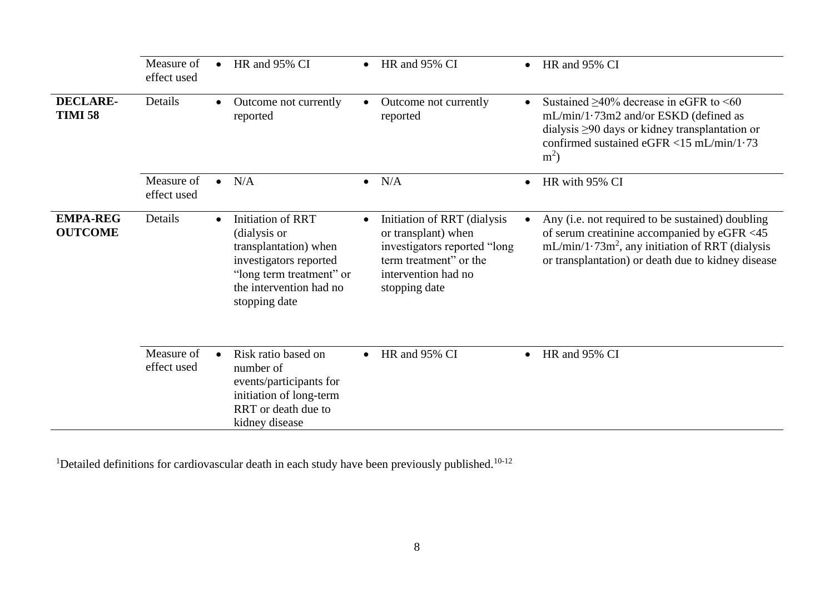|                                   | Measure of<br>effect used | HR and 95% CI<br>$\bullet$                                                                                                                                   | $\bullet$ | HR and 95% CI                                                                                                                                        | $\bullet$ | HR and 95% CI                                                                                                                                                                                               |
|-----------------------------------|---------------------------|--------------------------------------------------------------------------------------------------------------------------------------------------------------|-----------|------------------------------------------------------------------------------------------------------------------------------------------------------|-----------|-------------------------------------------------------------------------------------------------------------------------------------------------------------------------------------------------------------|
| <b>DECLARE-</b><br><b>TIMI 58</b> | Details                   | Outcome not currently<br>reported                                                                                                                            |           | Outcome not currently<br>reported                                                                                                                    |           | Sustained $\geq 40\%$ decrease in eGFR to <60<br>$mL/min/1.73m2$ and/or ESKD (defined as<br>dialysis $\geq$ 90 days or kidney transplantation or<br>confirmed sustained eGFR <15 mL/min/1.73<br>$m2$ )      |
|                                   | Measure of<br>effect used | N/A                                                                                                                                                          |           | $\bullet$ N/A                                                                                                                                        | $\bullet$ | HR with 95% CI                                                                                                                                                                                              |
| <b>EMPA-REG</b><br><b>OUTCOME</b> | Details                   | Initiation of RRT<br>(dialysis or<br>transplantation) when<br>investigators reported<br>"long term treatment" or<br>the intervention had no<br>stopping date | $\bullet$ | Initiation of RRT (dialysis<br>or transplant) when<br>investigators reported "long<br>term treatment" or the<br>intervention had no<br>stopping date |           | Any (i.e. not required to be sustained) doubling<br>of serum creatinine accompanied by eGFR <45<br>$mL/min/1.73m^2$ , any initiation of RRT (dialysis<br>or transplantation) or death due to kidney disease |
|                                   | Measure of<br>effect used | Risk ratio based on<br>number of<br>events/participants for<br>initiation of long-term<br>RRT or death due to<br>kidney disease                              |           | HR and 95% CI                                                                                                                                        | $\bullet$ | HR and 95% CI                                                                                                                                                                                               |

<sup>1</sup>Detailed definitions for cardiovascular death in each study have been previously published.<sup>10-12</sup>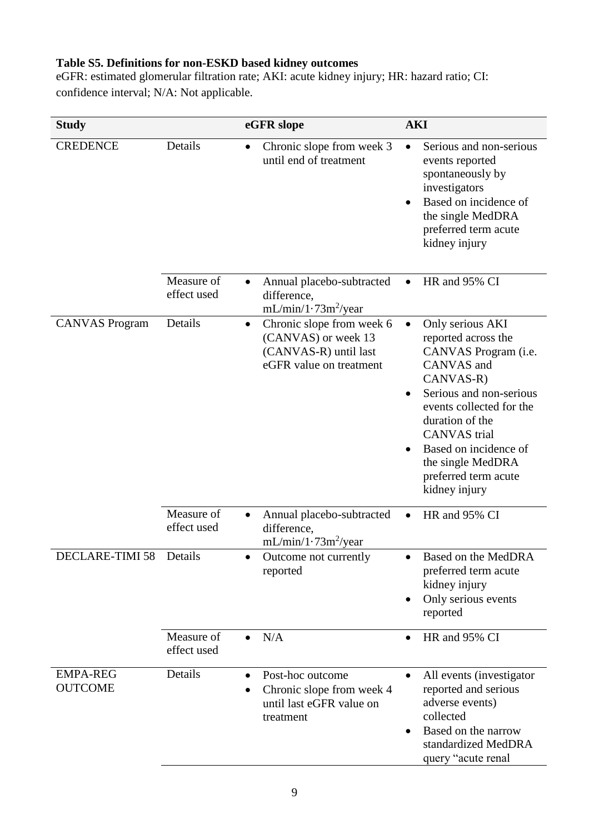# **Table S5. Definitions for non-ESKD based kidney outcomes**

eGFR: estimated glomerular filtration rate; AKI: acute kidney injury; HR: hazard ratio; CI: confidence interval; N/A: Not applicable.

| <b>Study</b>                      |                           | eGFR slope                                                                                                        | <b>AKI</b>                                                                                                                                                                                                                                                                                      |
|-----------------------------------|---------------------------|-------------------------------------------------------------------------------------------------------------------|-------------------------------------------------------------------------------------------------------------------------------------------------------------------------------------------------------------------------------------------------------------------------------------------------|
| <b>CREDENCE</b>                   | Details                   | Chronic slope from week 3<br>until end of treatment                                                               | Serious and non-serious<br>events reported<br>spontaneously by<br>investigators<br>Based on incidence of<br>the single MedDRA<br>preferred term acute<br>kidney injury                                                                                                                          |
|                                   | Measure of<br>effect used | Annual placebo-subtracted<br>$\bullet$<br>difference,<br>$mL/min/1.73m^2/year$                                    | HR and 95% CI                                                                                                                                                                                                                                                                                   |
| <b>CANVAS Program</b>             | Details                   | Chronic slope from week 6<br>$\bullet$<br>(CANVAS) or week 13<br>(CANVAS-R) until last<br>eGFR value on treatment | Only serious AKI<br>$\bullet$<br>reported across the<br>CANVAS Program (i.e.<br>CANVAS and<br>CANVAS-R)<br>Serious and non-serious<br>events collected for the<br>duration of the<br><b>CANVAS</b> trial<br>Based on incidence of<br>the single MedDRA<br>preferred term acute<br>kidney injury |
|                                   | Measure of<br>effect used | Annual placebo-subtracted<br>٠<br>difference,<br>$mL/min/1.73m^2/year$                                            | HR and 95% CI                                                                                                                                                                                                                                                                                   |
| DECLARE-TIMI 58                   | Details                   | Outcome not currently<br>reported                                                                                 | Based on the MedDRA<br>preferred term acute<br>kidney injury<br>Only serious events<br>reported                                                                                                                                                                                                 |
|                                   | Measure of<br>effect used | N/A<br>$\bullet$                                                                                                  | HR and 95% CI<br>$\bullet$                                                                                                                                                                                                                                                                      |
| <b>EMPA-REG</b><br><b>OUTCOME</b> | Details                   | Post-hoc outcome<br>$\bullet$<br>Chronic slope from week 4<br>until last eGFR value on<br>treatment               | All events (investigator<br>$\bullet$<br>reported and serious<br>adverse events)<br>collected<br>Based on the narrow<br>standardized MedDRA<br>query "acute renal                                                                                                                               |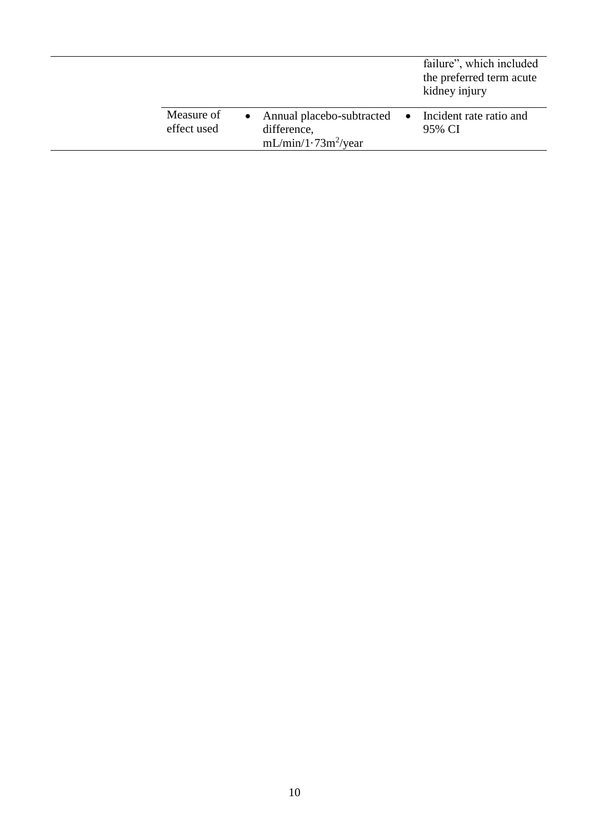|                           |                                                                     | failure", which included<br>the preferred term acute<br>kidney injury |
|---------------------------|---------------------------------------------------------------------|-----------------------------------------------------------------------|
| Measure of<br>effect used | Annual placebo-subtracted •<br>difference,<br>$mL/min/1.73m^2/year$ | Incident rate ratio and<br>95% CI                                     |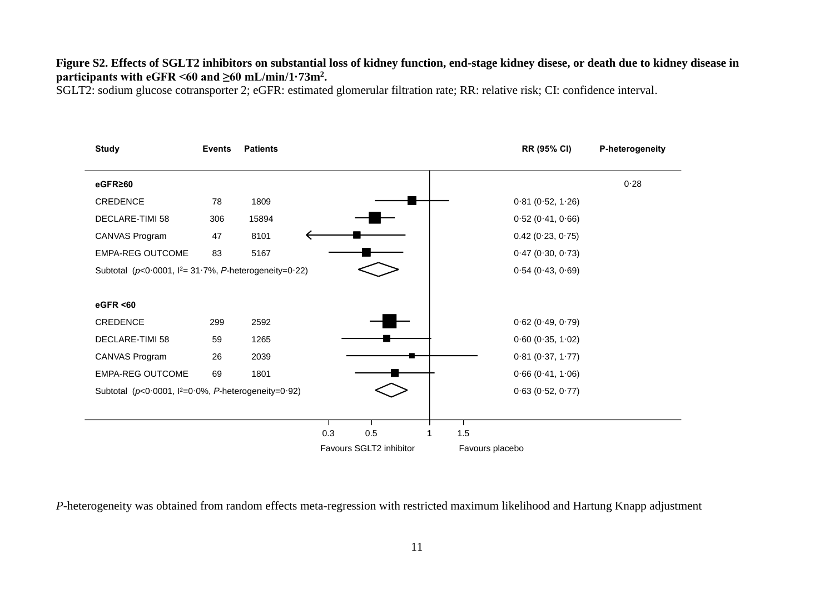## **Figure S2. Effects of SGLT2 inhibitors on substantial loss of kidney function, end-stage kidney disese, or death due to kidney disease in**  participants with  $e$ GFR <60 and  $\geq$ 60 mL/min/1·73m<sup>2</sup>.

SGLT2: sodium glucose cotransporter 2; eGFR: estimated glomerular filtration rate; RR: relative risk; CI: confidence interval.

| <b>Study</b>                                                     | <b>Events</b> | <b>Patients</b> |     |                         |     | RR (95% CI)         | P-heterogeneity |
|------------------------------------------------------------------|---------------|-----------------|-----|-------------------------|-----|---------------------|-----------------|
| eGFR≥60                                                          |               |                 |     |                         |     |                     | 0.28            |
| CREDENCE                                                         | 78            | 1809            |     |                         |     | 0.81(0.52, 1.26)    |                 |
| DECLARE-TIMI 58                                                  | 306           | 15894           |     |                         |     | 0.52(0.41, 0.66)    |                 |
| CANVAS Program                                                   | 47            | 8101            |     |                         |     | $0.42$ (0.23, 0.75) |                 |
| EMPA-REG OUTCOME                                                 | 83            | 5167            |     |                         |     | 0.47(0.30, 0.73)    |                 |
| Subtotal ( $p < 0.0001$ , $l^2 = 31.7\%$ , P-heterogeneity=0.22) |               |                 |     |                         |     | 0.54(0.43, 0.69)    |                 |
| eGFR <60                                                         |               |                 |     |                         |     |                     |                 |
| CREDENCE                                                         | 299           | 2592            |     |                         |     | $0.62$ (0.49, 0.79) |                 |
| DECLARE-TIMI 58                                                  | 59            | 1265            |     |                         |     | $0.60$ (0.35, 1.02) |                 |
| CANVAS Program                                                   | 26            | 2039            |     |                         |     | 0.81(0.37, 1.77)    |                 |
| <b>EMPA-REG OUTCOME</b>                                          | 69            | 1801            |     |                         |     | 0.66(0.41, 1.06)    |                 |
| Subtotal ( $p < 0.0001$ , $l^2 = 0.0\%$ , P-heterogeneity=0.92)  |               |                 |     |                         |     | 0.63(0.52, 0.77)    |                 |
|                                                                  |               |                 |     |                         |     |                     |                 |
|                                                                  |               |                 | 0.3 | 0.5                     | 1.5 |                     |                 |
|                                                                  |               |                 |     | Favours SGLT2 inhibitor |     | Favours placebo     |                 |

*P*-heterogeneity was obtained from random effects meta-regression with restricted maximum likelihood and Hartung Knapp adjustment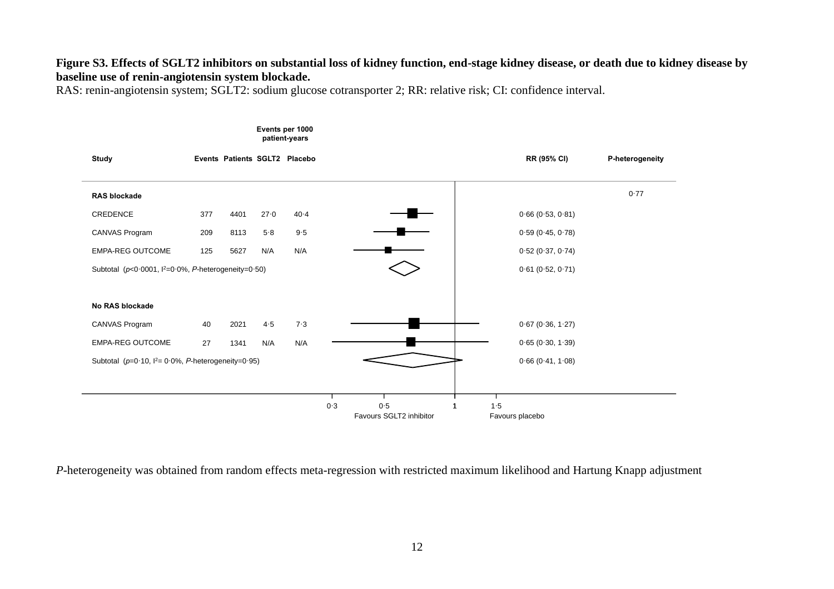### **Figure S3. Effects of SGLT2 inhibitors on substantial loss of kidney function, end-stage kidney disease, or death due to kidney disease by baseline use of renin-angiotensin system blockade.**

RAS: renin-angiotensin system; SGLT2: sodium glucose cotransporter 2; RR: relative risk; CI: confidence interval.



*P*-heterogeneity was obtained from random effects meta-regression with restricted maximum likelihood and Hartung Knapp adjustment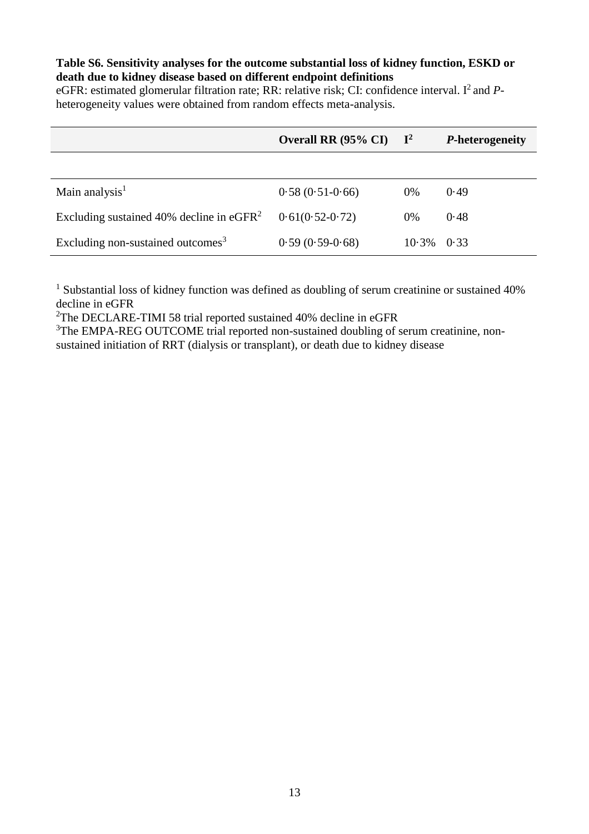### **Table S6. Sensitivity analyses for the outcome substantial loss of kidney function, ESKD or death due to kidney disease based on different endpoint definitions**

eGFR: estimated glomerular filtration rate; RR: relative risk; CI: confidence interval. I<sup>2</sup> and *P*heterogeneity values were obtained from random effects meta-analysis.

|                                               | Overall RR (95% CI) | $\mathbf{I}^2$ | <i>P</i> -heterogeneity |
|-----------------------------------------------|---------------------|----------------|-------------------------|
|                                               |                     |                |                         |
| Main analysis $1$                             | $0.58(0.51-0.66)$   | $0\%$          | 0.49                    |
| Excluding sustained 40% decline in $eGFR2$    | $0.61(0.52-0.72)$   | 0%             | 0.48                    |
| Excluding non-sustained outcomes <sup>3</sup> | $0.59(0.59-0.68)$   | 10.3%          | 0.33                    |

<sup>1</sup> Substantial loss of kidney function was defined as doubling of serum creatinine or sustained 40% decline in eGFR

<sup>2</sup>The DECLARE-TIMI 58 trial reported sustained 40% decline in eGFR

<sup>3</sup>The EMPA-REG OUTCOME trial reported non-sustained doubling of serum creatinine, nonsustained initiation of RRT (dialysis or transplant), or death due to kidney disease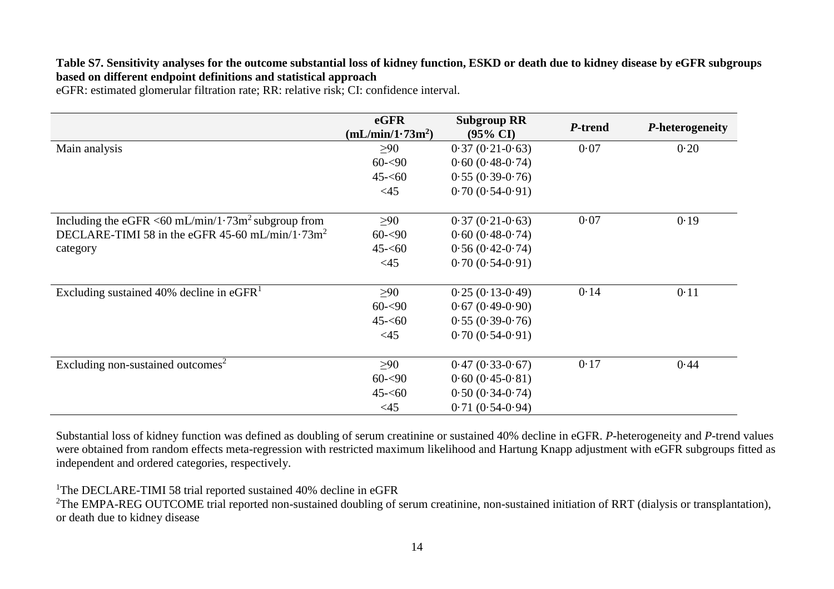### **Table S7. Sensitivity analyses for the outcome substantial loss of kidney function, ESKD or death due to kidney disease by eGFR subgroups based on different endpoint definitions and statistical approach**

eGFR: estimated glomerular filtration rate; RR: relative risk; CI: confidence interval.

|                                                                        | eGFR<br>(mL/min/1.73m <sup>2</sup> ) | <b>Subgroup RR</b><br>$(95\% \text{ CI})$ | P-trend | P-heterogeneity |
|------------------------------------------------------------------------|--------------------------------------|-------------------------------------------|---------|-----------------|
| Main analysis                                                          | $\geq 90$                            | $0.37(0.21-0.63)$                         | 0.07    | 0.20            |
|                                                                        | $60 - 90$                            | $0.60(0.48-0.74)$                         |         |                 |
|                                                                        | $45 - 60$                            | $0.55(0.39-0.76)$                         |         |                 |
|                                                                        | <45                                  | $0.70(0.54-0.91)$                         |         |                 |
| Including the eGFR <60 mL/min/1 $\cdot$ 73m <sup>2</sup> subgroup from | $\geq 90$                            | $0.37(0.21-0.63)$                         | 0.07    | 0.19            |
| DECLARE-TIMI 58 in the eGFR 45-60 mL/min/1 $\cdot$ 73m <sup>2</sup>    | $60 - 90$                            | $0.60(0.48-0.74)$                         |         |                 |
| category                                                               | $45 - 60$                            | $0.56(0.42-0.74)$                         |         |                 |
|                                                                        | <45                                  | $0.70(0.54-0.91)$                         |         |                 |
| Excluding sustained 40% decline in $eGFR1$                             | $\geq 90$                            | $0.25(0.13-0.49)$                         | 0.14    | 0.11            |
|                                                                        | $60 - 90$                            | $0.67(0.49-0.90)$                         |         |                 |
|                                                                        | $45 - 60$                            | $0.55(0.39-0.76)$                         |         |                 |
|                                                                        | $\leq$ 45                            | $0.70(0.54-0.91)$                         |         |                 |
| Excluding non-sustained outcomes <sup>2</sup>                          | $\geq 90$                            | $0.47(0.33-0.67)$                         | 0.17    | 0.44            |
|                                                                        | $60 - 90$                            | $0.60(0.45-0.81)$                         |         |                 |
|                                                                        | $45 - 60$                            | $0.50(0.34-0.74)$                         |         |                 |
|                                                                        | $<$ 45                               | $0.71(0.54-0.94)$                         |         |                 |

Substantial loss of kidney function was defined as doubling of serum creatinine or sustained 40% decline in eGFR. *P*-heterogeneity and *P*-trend values were obtained from random effects meta-regression with restricted maximum likelihood and Hartung Knapp adjustment with eGFR subgroups fitted as independent and ordered categories, respectively.

<sup>1</sup>The DECLARE-TIMI 58 trial reported sustained 40% decline in eGFR

<sup>2</sup>The EMPA-REG OUTCOME trial reported non-sustained doubling of serum creatinine, non-sustained initiation of RRT (dialysis or transplantation), or death due to kidney disease